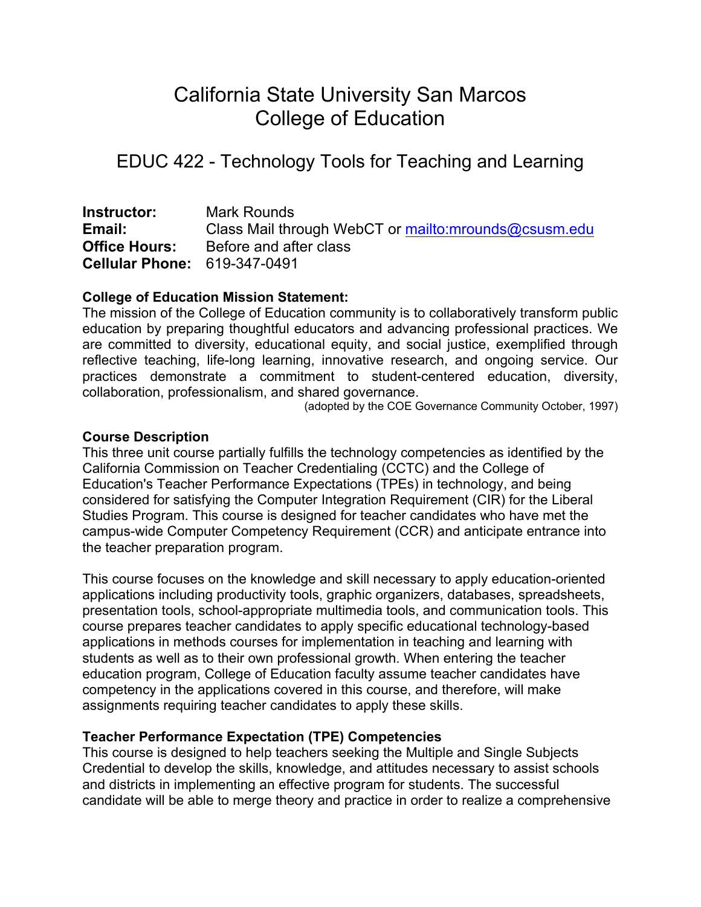# California State University San Marcos College of Education

# EDUC 422 - Technology Tools for Teaching and Learning

**Instructor:** Mark Rounds **Email:** Class Mail through WebCT or mailto:mrounds@csusm.edu **Office Hours:** Before and after class **Cellular Phone:** 619-347-0491

# **College of Education Mission Statement:**

The mission of the College of Education community is to collaboratively transform public education by preparing thoughtful educators and advancing professional practices. We are committed to diversity, educational equity, and social justice, exemplified through reflective teaching, life-long learning, innovative research, and ongoing service. Our practices demonstrate a commitment to student-centered education, diversity, collaboration, professionalism, and shared governance.

(adopted by the COE Governance Community October, 1997)

#### **Course Description**

This three unit course partially fulfills the technology competencies as identified by the California Commission on Teacher Credentialing (CCTC) and the College of Education's Teacher Performance Expectations (TPEs) in technology, and being considered for satisfying the Computer Integration Requirement (CIR) for the Liberal Studies Program. This course is designed for teacher candidates who have met the campus-wide Computer Competency Requirement (CCR) and anticipate entrance into the teacher preparation program.

This course focuses on the knowledge and skill necessary to apply education-oriented applications including productivity tools, graphic organizers, databases, spreadsheets, presentation tools, school-appropriate multimedia tools, and communication tools. This course prepares teacher candidates to apply specific educational technology-based applications in methods courses for implementation in teaching and learning with students as well as to their own professional growth. When entering the teacher education program, College of Education faculty assume teacher candidates have competency in the applications covered in this course, and therefore, will make assignments requiring teacher candidates to apply these skills.

#### **Teacher Performance Expectation (TPE) Competencies**

This course is designed to help teachers seeking the Multiple and Single Subjects Credential to develop the skills, knowledge, and attitudes necessary to assist schools and districts in implementing an effective program for students. The successful candidate will be able to merge theory and practice in order to realize a comprehensive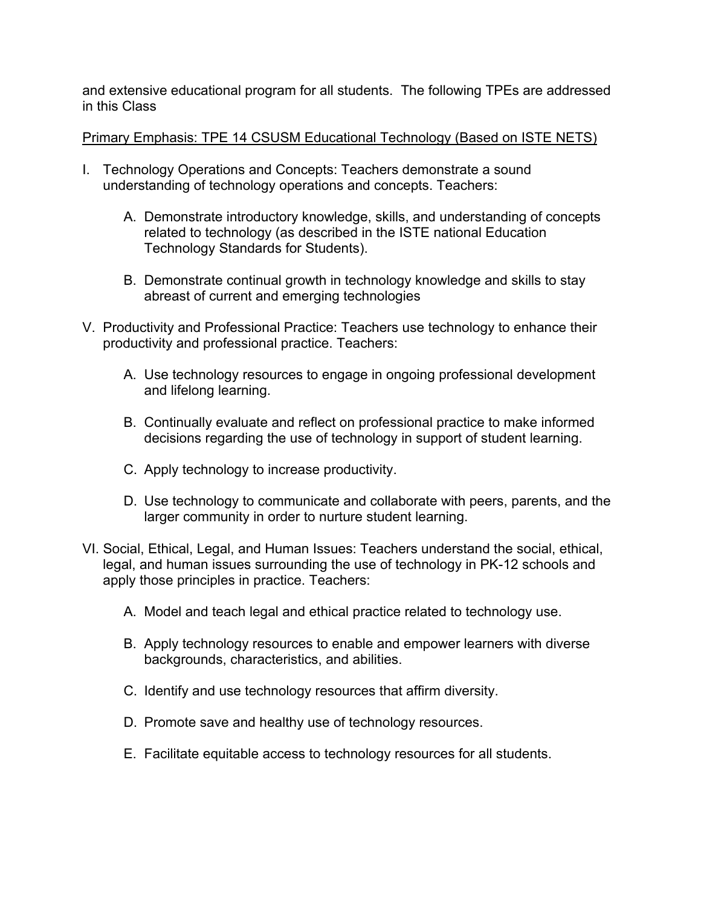and extensive educational program for all students. The following TPEs are addressed in this Class

Primary Emphasis: TPE 14 CSUSM Educational Technology (Based on ISTE NETS)

- I. Technology Operations and Concepts: Teachers demonstrate a sound understanding of technology operations and concepts. Teachers:
	- A. Demonstrate introductory knowledge, skills, and understanding of concepts related to technology (as described in the ISTE national Education Technology Standards for Students).
	- B. Demonstrate continual growth in technology knowledge and skills to stay abreast of current and emerging technologies
- V. Productivity and Professional Practice: Teachers use technology to enhance their productivity and professional practice. Teachers:
	- A. Use technology resources to engage in ongoing professional development and lifelong learning.
	- B. Continually evaluate and reflect on professional practice to make informed decisions regarding the use of technology in support of student learning.
	- C. Apply technology to increase productivity.
	- D. Use technology to communicate and collaborate with peers, parents, and the larger community in order to nurture student learning.
- VI. Social, Ethical, Legal, and Human Issues: Teachers understand the social, ethical, legal, and human issues surrounding the use of technology in PK-12 schools and apply those principles in practice. Teachers:
	- A. Model and teach legal and ethical practice related to technology use.
	- B. Apply technology resources to enable and empower learners with diverse backgrounds, characteristics, and abilities.
	- C. Identify and use technology resources that affirm diversity.
	- D. Promote save and healthy use of technology resources.
	- E. Facilitate equitable access to technology resources for all students.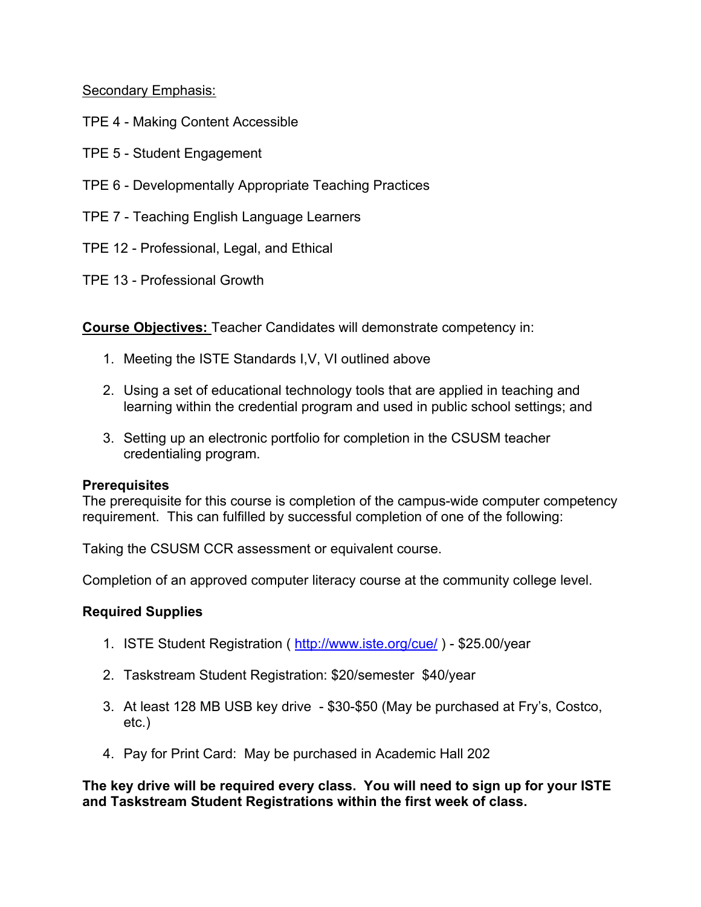Secondary Emphasis:

- TPE 4 Making Content Accessible
- TPE 5 Student Engagement
- TPE 6 Developmentally Appropriate Teaching Practices
- TPE 7 Teaching English Language Learners
- TPE 12 Professional, Legal, and Ethical
- TPE 13 Professional Growth

**Course Objectives:** Teacher Candidates will demonstrate competency in:

- 1. Meeting the ISTE Standards I,V, VI outlined above
- 2. Using a set of educational technology tools that are applied in teaching and learning within the credential program and used in public school settings; and
- 3. Setting up an electronic portfolio for completion in the CSUSM teacher credentialing program.

#### **Prerequisites**

The prerequisite for this course is completion of the campus-wide computer competency requirement. This can fulfilled by successful completion of one of the following:

Taking the CSUSM CCR assessment or equivalent course.

Completion of an approved computer literacy course at the community college level.

#### **Required Supplies**

- 1. ISTE Student Registration ( http://www.iste.org/cue/ ) \$25.00/year
- 2. Taskstream Student Registration: \$20/semester \$40/year
- 3. At least 128 MB USB key drive \$30-\$50 (May be purchased at Fry's, Costco, etc.)
- 4. Pay for Print Card: May be purchased in Academic Hall 202

**The key drive will be required every class. You will need to sign up for your ISTE and Taskstream Student Registrations within the first week of class.**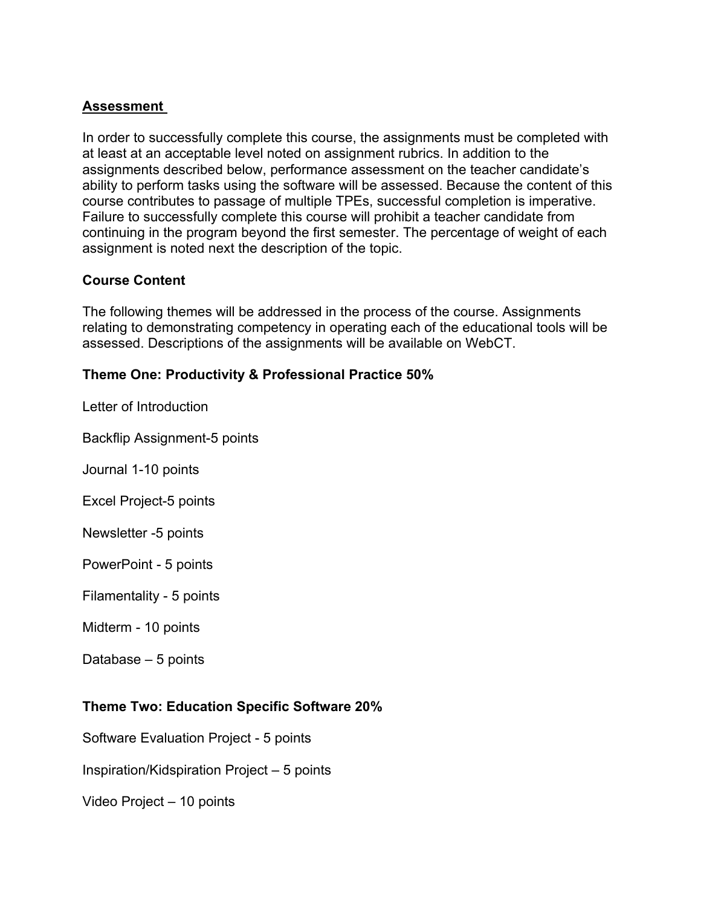# **Assessment**

In order to successfully complete this course, the assignments must be completed with at least at an acceptable level noted on assignment rubrics. In addition to the assignments described below, performance assessment on the teacher candidate's ability to perform tasks using the software will be assessed. Because the content of this course contributes to passage of multiple TPEs, successful completion is imperative. Failure to successfully complete this course will prohibit a teacher candidate from continuing in the program beyond the first semester. The percentage of weight of each assignment is noted next the description of the topic.

# **Course Content**

The following themes will be addressed in the process of the course. Assignments relating to demonstrating competency in operating each of the educational tools will be assessed. Descriptions of the assignments will be available on WebCT.

# **Theme One: Productivity & Professional Practice 50%**

Letter of Introduction

Backflip Assignment-5 points

Journal 1-10 points

Excel Project-5 points

Newsletter -5 points

PowerPoint - 5 points

Filamentality - 5 points

Midterm - 10 points

Database – 5 points

#### **Theme Two: Education Specific Software 20%**

Software Evaluation Project - 5 points

Inspiration/Kidspiration Project – 5 points

Video Project – 10 points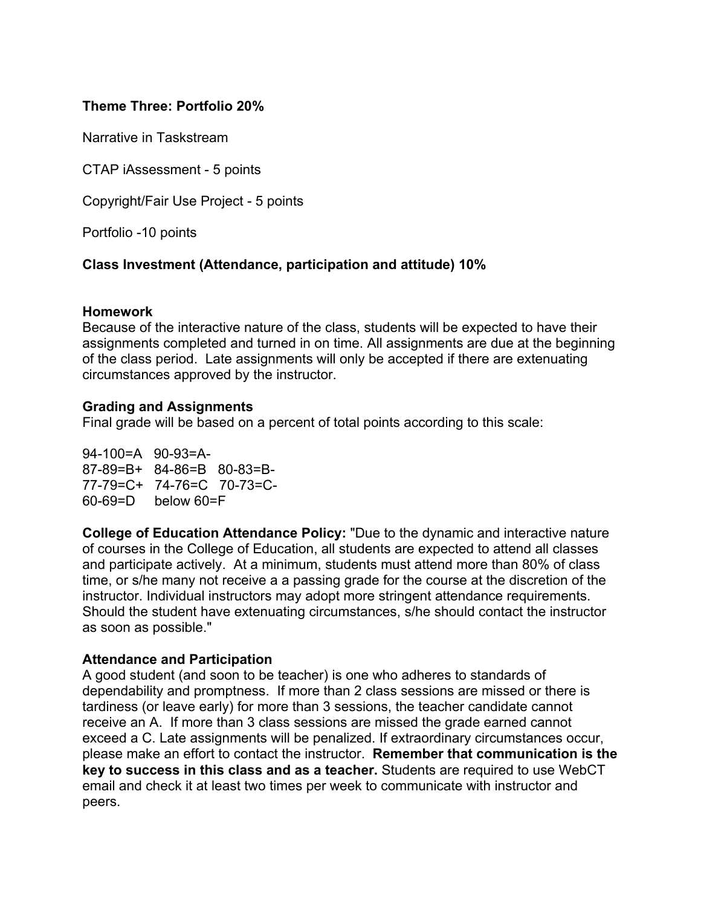# **Theme Three: Portfolio 20%**

Narrative in Taskstream

CTAP iAssessment - 5 points

Copyright/Fair Use Project - 5 points

Portfolio -10 points

#### **Class Investment (Attendance, participation and attitude) 10%**

#### **Homework**

Because of the interactive nature of the class, students will be expected to have their assignments completed and turned in on time. All assignments are due at the beginning of the class period. Late assignments will only be accepted if there are extenuating circumstances approved by the instructor.

#### **Grading and Assignments**

Final grade will be based on a percent of total points according to this scale:

94-100=A 90-93=A-87-89=B+ 84-86=B 80-83=B-77-79=C+ 74-76=C 70-73=C-60-69=D below 60=F

**College of Education Attendance Policy:** "Due to the dynamic and interactive nature of courses in the College of Education, all students are expected to attend all classes and participate actively. At a minimum, students must attend more than 80% of class time, or s/he many not receive a a passing grade for the course at the discretion of the instructor. Individual instructors may adopt more stringent attendance requirements. Should the student have extenuating circumstances, s/he should contact the instructor as soon as possible."

#### **Attendance and Participation**

A good student (and soon to be teacher) is one who adheres to standards of dependability and promptness. If more than 2 class sessions are missed or there is tardiness (or leave early) for more than 3 sessions, the teacher candidate cannot receive an A. If more than 3 class sessions are missed the grade earned cannot exceed a C. Late assignments will be penalized. If extraordinary circumstances occur, please make an effort to contact the instructor. **Remember that communication is the key to success in this class and as a teacher.** Students are required to use WebCT email and check it at least two times per week to communicate with instructor and peers.